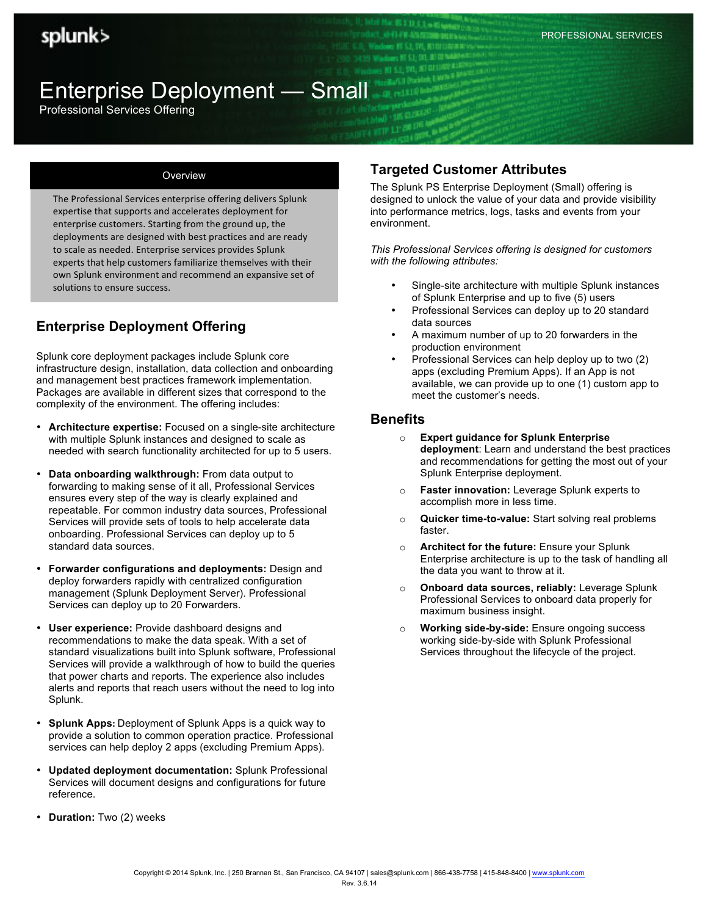PROFESSIONAL SERVICES

# Enterprise Deployment — Small

Professional Services Offering

#### **Overview**

The Professional Services enterprise offering delivers Splunk expertise that supports and accelerates deployment for enterprise customers. Starting from the ground up, the deployments are designed with best practices and are ready to scale as needed. Enterprise services provides Splunk experts that help customers familiarize themselves with their own Splunk environment and recommend an expansive set of solutions to ensure success.

## **Enterprise Deployment Offering**

Splunk core deployment packages include Splunk core infrastructure design, installation, data collection and onboarding and management best practices framework implementation. Packages are available in different sizes that correspond to the complexity of the environment. The offering includes:

- **Architecture expertise:** Focused on a single-site architecture with multiple Splunk instances and designed to scale as needed with search functionality architected for up to 5 users.
- **Data onboarding walkthrough:** From data output to forwarding to making sense of it all, Professional Services ensures every step of the way is clearly explained and repeatable. For common industry data sources, Professional Services will provide sets of tools to help accelerate data onboarding. Professional Services can deploy up to 5 standard data sources.
- **Forwarder configurations and deployments:** Design and deploy forwarders rapidly with centralized configuration management (Splunk Deployment Server). Professional Services can deploy up to 20 Forwarders.
- **User experience:** Provide dashboard designs and recommendations to make the data speak. With a set of standard visualizations built into Splunk software, Professional Services will provide a walkthrough of how to build the queries that power charts and reports. The experience also includes alerts and reports that reach users without the need to log into Splunk.
- **Splunk Apps: Deployment of Splunk Apps is a quick way to** provide a solution to common operation practice. Professional services can help deploy 2 apps (excluding Premium Apps).
- **Updated deployment documentation:** Splunk Professional Services will document designs and configurations for future reference.
- **Duration:** Two (2) weeks

### **Targeted Customer Attributes**

The Splunk PS Enterprise Deployment (Small) offering is designed to unlock the value of your data and provide visibility into performance metrics, logs, tasks and events from your environment.

*This Professional Services offering is designed for customers with the following attributes:*

- Single-site architecture with multiple Splunk instances of Splunk Enterprise and up to five (5) users
- Professional Services can deploy up to 20 standard data sources
- A maximum number of up to 20 forwarders in the production environment
- Professional Services can help deploy up to two (2) apps (excluding Premium Apps). If an App is not available, we can provide up to one (1) custom app to meet the customer's needs.

#### **Benefits**

- o **Expert guidance for Splunk Enterprise deployment**: Learn and understand the best practices and recommendations for getting the most out of your Splunk Enterprise deployment.
- o **Faster innovation:** Leverage Splunk experts to accomplish more in less time.
- o **Quicker time-to-value:** Start solving real problems faster.
- o **Architect for the future:** Ensure your Splunk Enterprise architecture is up to the task of handling all the data you want to throw at it.
- o **Onboard data sources, reliably:** Leverage Splunk Professional Services to onboard data properly for maximum business insight.
- o **Working side-by-side:** Ensure ongoing success working side-by-side with Splunk Professional Services throughout the lifecycle of the project.